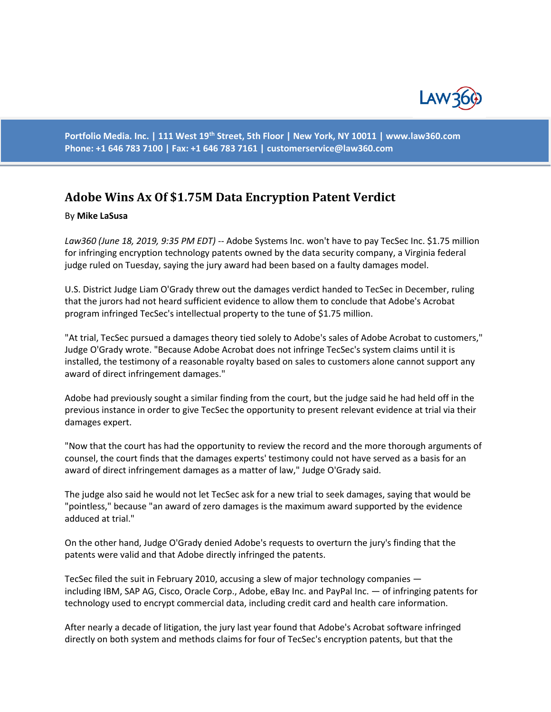

**Portfolio Media. Inc. | 111 West 19th Street, 5th Floor | New York, NY 10011 | www.law360.com Phone: +1 646 783 7100 | Fax: +1 646 783 7161 | [customerservice@law360.com](mailto:customerservice@law360.com)**

## **Adobe Wins Ax Of \$1.75M Data Encryption Patent Verdict**

## By **Mike LaSusa**

*Law360 (June 18, 2019, 9:35 PM EDT)* -- Adobe Systems Inc. won't have to pay TecSec Inc. \$1.75 million for infringing encryption technology patents owned by the data security company, a Virginia federal judge ruled on Tuesday, saying the jury award had been based on a faulty damages model.

U.S. District Judge Liam O'Grady threw out the damages verdict handed to TecSec in December, ruling that the jurors had not heard sufficient evidence to allow them to conclude that Adobe's Acrobat program infringed TecSec's intellectual property to the tune of \$1.75 million.

"At trial, TecSec pursued a damages theory tied solely to Adobe's sales of Adobe Acrobat to customers," Judge O'Grady wrote. "Because Adobe Acrobat does not infringe TecSec's system claims until it is installed, the testimony of a reasonable royalty based on sales to customers alone cannot support any award of direct infringement damages."

Adobe had previously sought a similar finding from the court, but the judge said he had held off in the previous instance in order to give TecSec the opportunity to present relevant evidence at trial via their damages expert.

"Now that the court has had the opportunity to review the record and the more thorough arguments of counsel, the court finds that the damages experts' testimony could not have served as a basis for an award of direct infringement damages as a matter of law," Judge O'Grady said.

The judge also said he would not let TecSec ask for a new trial to seek damages, saying that would be "pointless," because "an award of zero damages is the maximum award supported by the evidence adduced at trial."

On the other hand, Judge O'Grady denied Adobe's requests to overturn the jury's finding that the patents were valid and that Adobe directly infringed the patents.

TecSec filed the suit in February 2010, accusing a slew of major technology companies including IBM, SAP AG, Cisco, Oracle Corp., Adobe, eBay Inc. and PayPal Inc. — of infringing patents for technology used to encrypt commercial data, including credit card and health care information.

After nearly a decade of litigation, the jury last year found that Adobe's Acrobat software infringed directly on both system and methods claims for four of TecSec's encryption patents, but that the